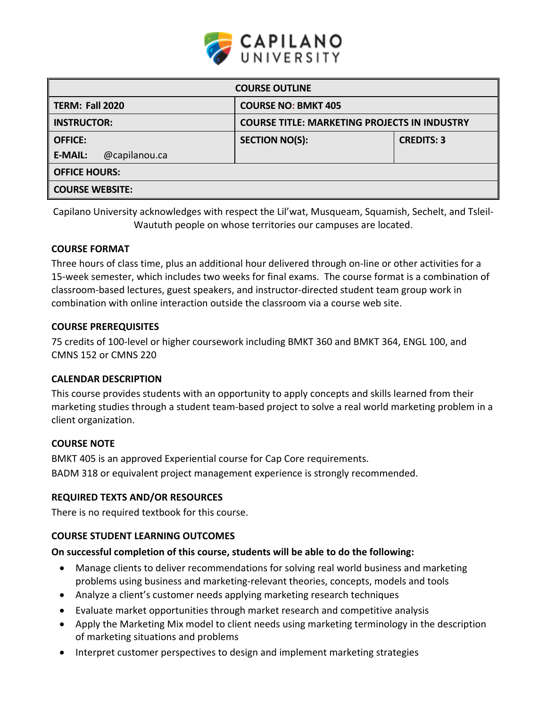

| <b>COURSE OUTLINE</b>           |                                                     |                   |  |  |  |
|---------------------------------|-----------------------------------------------------|-------------------|--|--|--|
| <b>TERM: Fall 2020</b>          | <b>COURSE NO: BMKT 405</b>                          |                   |  |  |  |
| <b>INSTRUCTOR:</b>              | <b>COURSE TITLE: MARKETING PROJECTS IN INDUSTRY</b> |                   |  |  |  |
| <b>OFFICE:</b>                  | <b>SECTION NO(S):</b>                               | <b>CREDITS: 3</b> |  |  |  |
| @capilanou.ca<br><b>E-MAIL:</b> |                                                     |                   |  |  |  |
| <b>OFFICE HOURS:</b>            |                                                     |                   |  |  |  |
| <b>COURSE WEBSITE:</b>          |                                                     |                   |  |  |  |
|                                 |                                                     |                   |  |  |  |

Capilano University acknowledges with respect the Lil'wat, Musqueam, Squamish, Sechelt, and Tsleil-Waututh people on whose territories our campuses are located.

# **COURSE FORMAT**

Three hours of class time, plus an additional hour delivered through on-line or other activities for a 15-week semester, which includes two weeks for final exams. The course format is a combination of classroom-based lectures, guest speakers, and instructor-directed student team group work in combination with online interaction outside the classroom via a course web site.

# **COURSE PREREQUISITES**

75 credits of 100-level or higher coursework including BMKT 360 and BMKT 364, ENGL 100, and CMNS 152 or CMNS 220

# **CALENDAR DESCRIPTION**

This course provides students with an opportunity to apply concepts and skills learned from their marketing studies through a student team-based project to solve a real world marketing problem in a client organization.

# **COURSE NOTE**

BMKT 405 is an approved Experiential course for Cap Core requirements. BADM 318 or equivalent project management experience is strongly recommended.

# **REQUIRED TEXTS AND/OR RESOURCES**

There is no required textbook for this course.

# **COURSE STUDENT LEARNING OUTCOMES**

# **On successful completion of this course, students will be able to do the following:**

- Manage clients to deliver recommendations for solving real world business and marketing problems using business and marketing-relevant theories, concepts, models and tools
- Analyze a client's customer needs applying marketing research techniques
- Evaluate market opportunities through market research and competitive analysis
- Apply the Marketing Mix model to client needs using marketing terminology in the description of marketing situations and problems
- Interpret customer perspectives to design and implement marketing strategies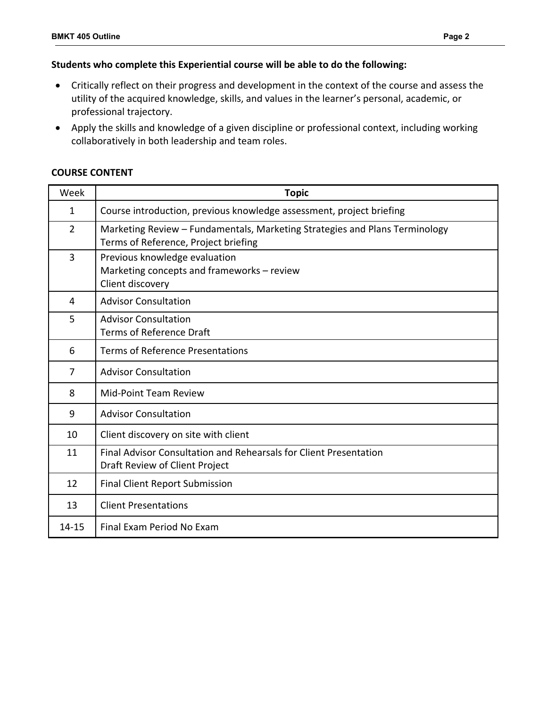# **Students who complete this Experiential course will be able to do the following:**

- Critically reflect on their progress and development in the context of the course and assess the utility of the acquired knowledge, skills, and values in the learner's personal, academic, or professional trajectory.
- Apply the skills and knowledge of a given discipline or professional context, including working collaboratively in both leadership and team roles.

### **COURSE CONTENT**

| Week           | <b>Topic</b>                                                                                                        |  |  |  |
|----------------|---------------------------------------------------------------------------------------------------------------------|--|--|--|
| $\mathbf{1}$   | Course introduction, previous knowledge assessment, project briefing                                                |  |  |  |
| $\overline{2}$ | Marketing Review - Fundamentals, Marketing Strategies and Plans Terminology<br>Terms of Reference, Project briefing |  |  |  |
| $\overline{3}$ | Previous knowledge evaluation<br>Marketing concepts and frameworks - review<br>Client discovery                     |  |  |  |
| 4              | <b>Advisor Consultation</b>                                                                                         |  |  |  |
| 5              | <b>Advisor Consultation</b><br><b>Terms of Reference Draft</b>                                                      |  |  |  |
| 6              | <b>Terms of Reference Presentations</b>                                                                             |  |  |  |
| 7              | <b>Advisor Consultation</b>                                                                                         |  |  |  |
| 8              | Mid-Point Team Review                                                                                               |  |  |  |
| 9              | <b>Advisor Consultation</b>                                                                                         |  |  |  |
| 10             | Client discovery on site with client                                                                                |  |  |  |
| 11             | Final Advisor Consultation and Rehearsals for Client Presentation<br>Draft Review of Client Project                 |  |  |  |
| 12             | <b>Final Client Report Submission</b>                                                                               |  |  |  |
| 13             | <b>Client Presentations</b>                                                                                         |  |  |  |
| $14 - 15$      | Final Exam Period No Exam                                                                                           |  |  |  |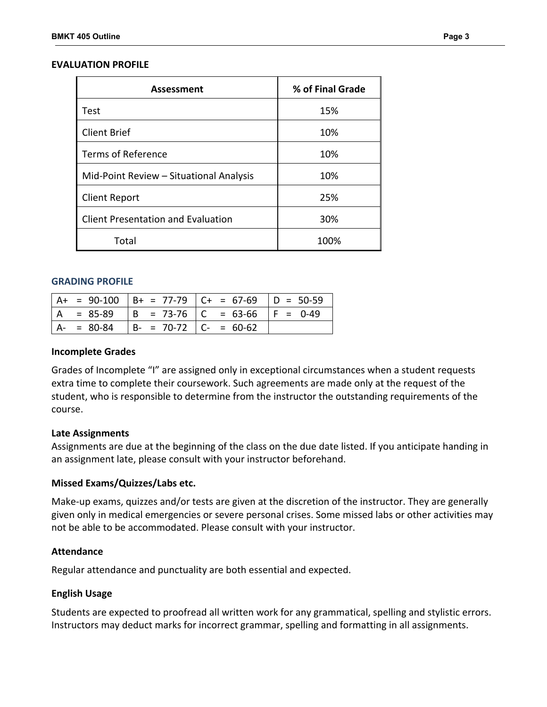#### **EVALUATION PROFILE**

| <b>Assessment</b>                         | % of Final Grade |
|-------------------------------------------|------------------|
| Test                                      | 15%              |
| <b>Client Brief</b>                       | 10%              |
| <b>Terms of Reference</b>                 | 10%              |
| Mid-Point Review - Situational Analysis   | 10%              |
| <b>Client Report</b>                      | 25%              |
| <b>Client Presentation and Evaluation</b> | 30%              |
| Total                                     | 100%             |

#### **GRADING PROFILE**

|               |                             | $A+ = 90-100$ $B+ = 77-79$ $C+ = 67-69$ $D = 50-59$ |            |
|---------------|-----------------------------|-----------------------------------------------------|------------|
| $= 85-89$     | $ B = 73-76$ $ C = 63-66$   |                                                     | $F = 0-49$ |
| $A - = 80-84$ | $ B- = 70-72$ $ C- = 60-62$ |                                                     |            |

#### **Incomplete Grades**

Grades of Incomplete "I" are assigned only in exceptional circumstances when a student requests extra time to complete their coursework. Such agreements are made only at the request of the student, who is responsible to determine from the instructor the outstanding requirements of the course.

#### **Late Assignments**

Assignments are due at the beginning of the class on the due date listed. If you anticipate handing in an assignment late, please consult with your instructor beforehand.

#### **Missed Exams/Quizzes/Labs etc.**

Make-up exams, quizzes and/or tests are given at the discretion of the instructor. They are generally given only in medical emergencies or severe personal crises. Some missed labs or other activities may not be able to be accommodated. Please consult with your instructor.

### **Attendance**

Regular attendance and punctuality are both essential and expected.

#### **English Usage**

Students are expected to proofread all written work for any grammatical, spelling and stylistic errors. Instructors may deduct marks for incorrect grammar, spelling and formatting in all assignments.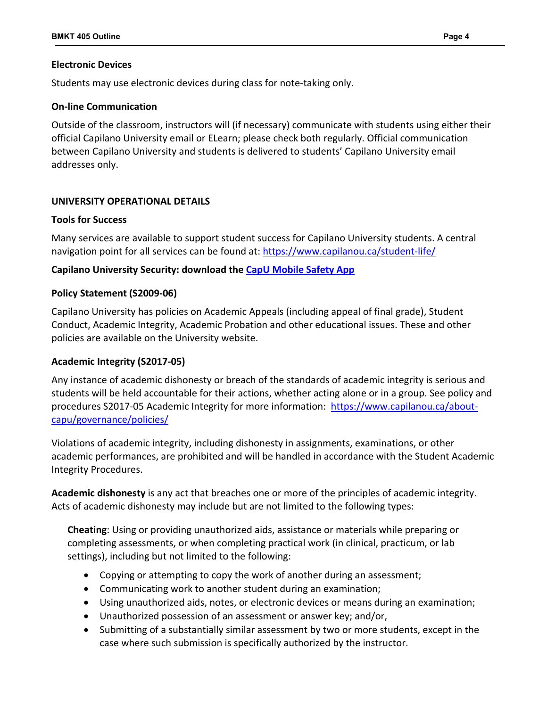# **Electronic Devices**

Students may use electronic devices during class for note-taking only.

### **On-line Communication**

Outside of the classroom, instructors will (if necessary) communicate with students using either their official Capilano University email or ELearn; please check both regularly. Official communication between Capilano University and students is delivered to students' Capilano University email addresses only.

# **UNIVERSITY OPERATIONAL DETAILS**

### **Tools for Success**

Many services are available to support student success for Capilano University students. A central navigation point for all services can be found at:<https://www.capilanou.ca/student-life/>

# **Capilano University Security: download the [CapU Mobile Safety App](https://www.capilanou.ca/student-life/support--wellness/safety--security/capu-safe-app/)**

# **Policy Statement (S2009-06)**

Capilano University has policies on Academic Appeals (including appeal of final grade), Student Conduct, Academic Integrity, Academic Probation and other educational issues. These and other policies are available on the University website.

# **Academic Integrity (S2017-05)**

Any instance of academic dishonesty or breach of the standards of academic integrity is serious and students will be held accountable for their actions, whether acting alone or in a group. See policy and procedures S2017-05 Academic Integrity for more information: [https://www.capilanou.ca/about](https://www.capilanou.ca/about-capu/governance/policies/)[capu/governance/policies/](https://www.capilanou.ca/about-capu/governance/policies/) 

Violations of academic integrity, including dishonesty in assignments, examinations, or other academic performances, are prohibited and will be handled in accordance with the Student Academic Integrity Procedures.

**Academic dishonesty** is any act that breaches one or more of the principles of academic integrity. Acts of academic dishonesty may include but are not limited to the following types:

**Cheating**: Using or providing unauthorized aids, assistance or materials while preparing or completing assessments, or when completing practical work (in clinical, practicum, or lab settings), including but not limited to the following:

- Copying or attempting to copy the work of another during an assessment;
- Communicating work to another student during an examination;
- Using unauthorized aids, notes, or electronic devices or means during an examination;
- Unauthorized possession of an assessment or answer key; and/or,
- Submitting of a substantially similar assessment by two or more students, except in the case where such submission is specifically authorized by the instructor.